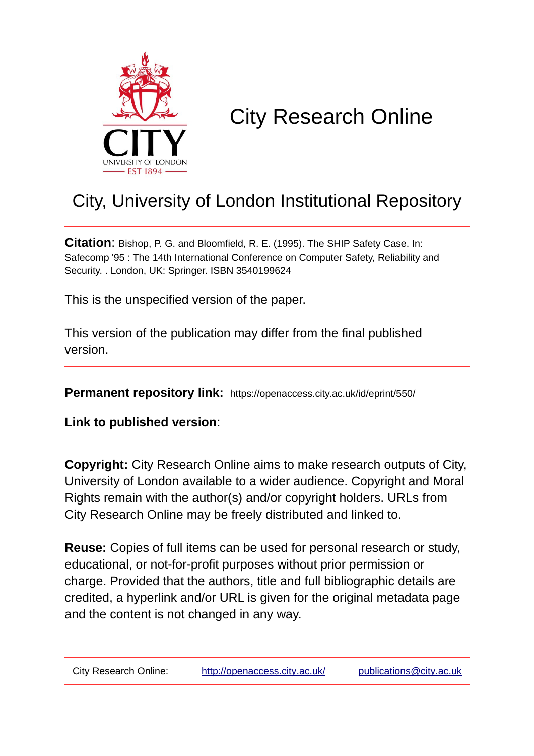

# City Research Online

# City, University of London Institutional Repository

**Citation**: Bishop, P. G. and Bloomfield, R. E. (1995). The SHIP Safety Case. In: Safecomp '95 : The 14th International Conference on Computer Safety, Reliability and Security. . London, UK: Springer. ISBN 3540199624

This is the unspecified version of the paper.

This version of the publication may differ from the final published version.

**Permanent repository link:** https://openaccess.city.ac.uk/id/eprint/550/

**Link to published version**:

**Copyright:** City Research Online aims to make research outputs of City, University of London available to a wider audience. Copyright and Moral Rights remain with the author(s) and/or copyright holders. URLs from City Research Online may be freely distributed and linked to.

**Reuse:** Copies of full items can be used for personal research or study, educational, or not-for-profit purposes without prior permission or charge. Provided that the authors, title and full bibliographic details are credited, a hyperlink and/or URL is given for the original metadata page and the content is not changed in any way.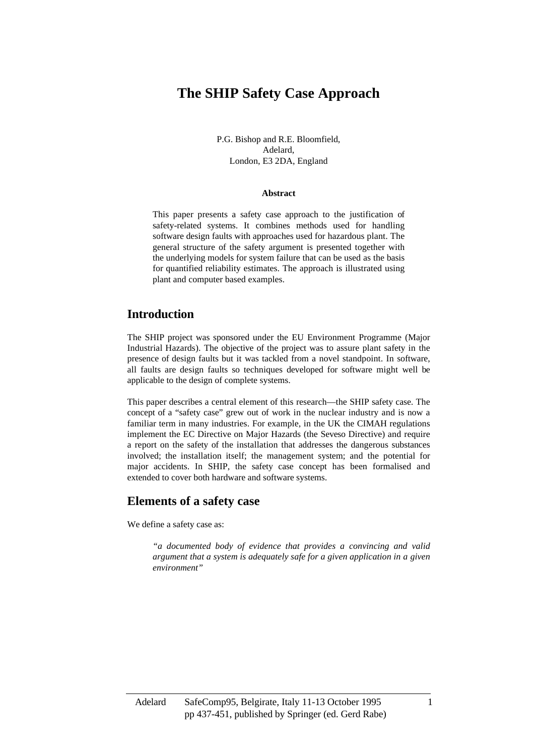# **The SHIP Safety Case Approach**

P.G. Bishop and R.E. Bloomfield, Adelard, London, E3 2DA, England

#### **Abstract**

This paper presents a safety case approach to the justification of safety-related systems. It combines methods used for handling software design faults with approaches used for hazardous plant. The general structure of the safety argument is presented together with the underlying models for system failure that can be used as the basis for quantified reliability estimates. The approach is illustrated using plant and computer based examples.

## **Introduction**

The SHIP project was sponsored under the EU Environment Programme (Major Industrial Hazards). The objective of the project was to assure plant safety in the presence of design faults but it was tackled from a novel standpoint. In software, all faults are design faults so techniques developed for software might well be applicable to the design of complete systems.

This paper describes a central element of this research—the SHIP safety case. The concept of a "safety case" grew out of work in the nuclear industry and is now a familiar term in many industries. For example, in the UK the CIMAH regulations implement the EC Directive on Major Hazards (the Seveso Directive) and require a report on the safety of the installation that addresses the dangerous substances involved; the installation itself; the management system; and the potential for major accidents. In SHIP, the safety case concept has been formalised and extended to cover both hardware and software systems.

## **Elements of a safety case**

We define a safety case as:

*"a documented body of evidence that provides a convincing and valid argument that a system is adequately safe for a given application in a given environment"*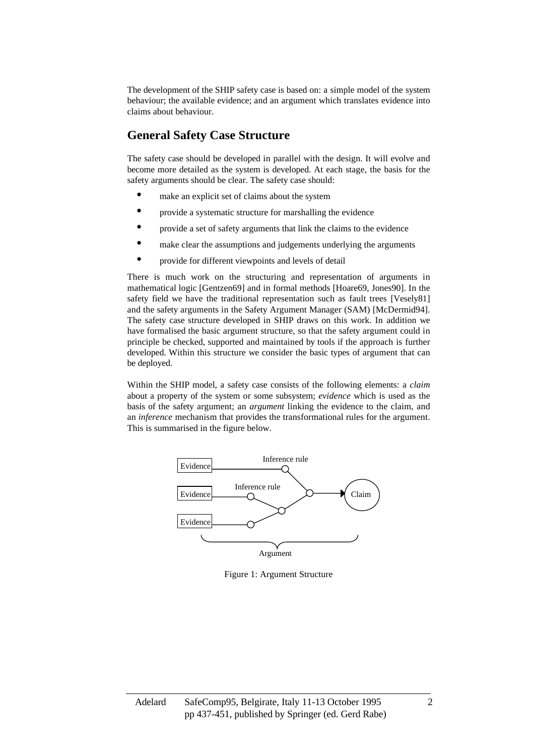The development of the SHIP safety case is based on: a simple model of the system behaviour; the available evidence; and an argument which translates evidence into claims about behaviour.

# **General Safety Case Structure**

The safety case should be developed in parallel with the design. It will evolve and become more detailed as the system is developed. At each stage, the basis for the safety arguments should be clear. The safety case should:

- make an explicit set of claims about the system
- provide a systematic structure for marshalling the evidence
- provide a set of safety arguments that link the claims to the evidence
- make clear the assumptions and judgements underlying the arguments
- provide for different viewpoints and levels of detail

There is much work on the structuring and representation of arguments in mathematical logic [Gentzen69] and in formal methods [Hoare69, Jones90]. In the safety field we have the traditional representation such as fault trees [Vesely81] and the safety arguments in the Safety Argument Manager (SAM) [McDermid94]. The safety case structure developed in SHIP draws on this work. In addition we have formalised the basic argument structure, so that the safety argument could in principle be checked, supported and maintained by tools if the approach is further developed. Within this structure we consider the basic types of argument that can be deployed.

Within the SHIP model, a safety case consists of the following elements: a *claim* about a property of the system or some subsystem; *evidence* which is used as the basis of the safety argument; an *argument* linking the evidence to the claim, and an *inference* mechanism that provides the transformational rules for the argument. This is summarised in the figure below.



Figure 1: Argument Structure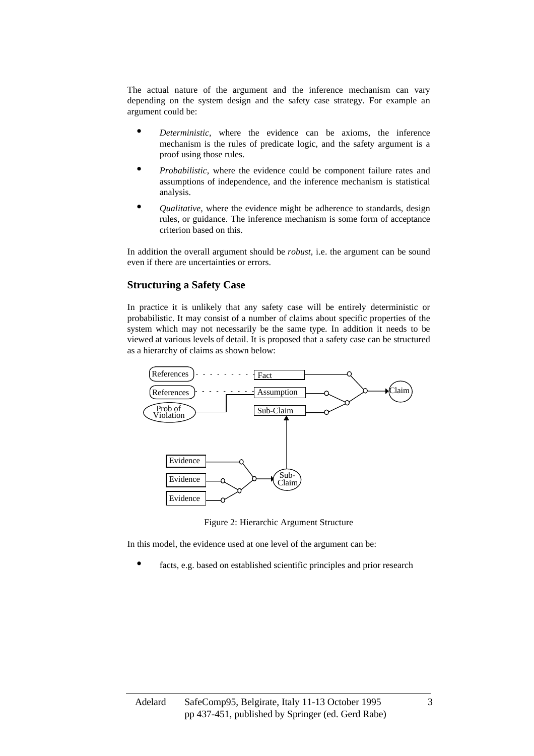The actual nature of the argument and the inference mechanism can vary depending on the system design and the safety case strategy. For example an argument could be:

- *Deterministic*, where the evidence can be axioms, the inference mechanism is the rules of predicate logic, and the safety argument is a proof using those rules.
- *Probabilistic*, where the evidence could be component failure rates and assumptions of independence, and the inference mechanism is statistical analysis.
- *Qualitative*, where the evidence might be adherence to standards, design rules, or guidance. The inference mechanism is some form of acceptance criterion based on this.

In addition the overall argument should be *robust*, i.e. the argument can be sound even if there are uncertainties or errors.

### **Structuring a Safety Case**

In practice it is unlikely that any safety case will be entirely deterministic or probabilistic. It may consist of a number of claims about specific properties of the system which may not necessarily be the same type. In addition it needs to be viewed at various levels of detail. It is proposed that a safety case can be structured as a hierarchy of claims as shown below:



Figure 2: Hierarchic Argument Structure

In this model, the evidence used at one level of the argument can be:

facts, e.g. based on established scientific principles and prior research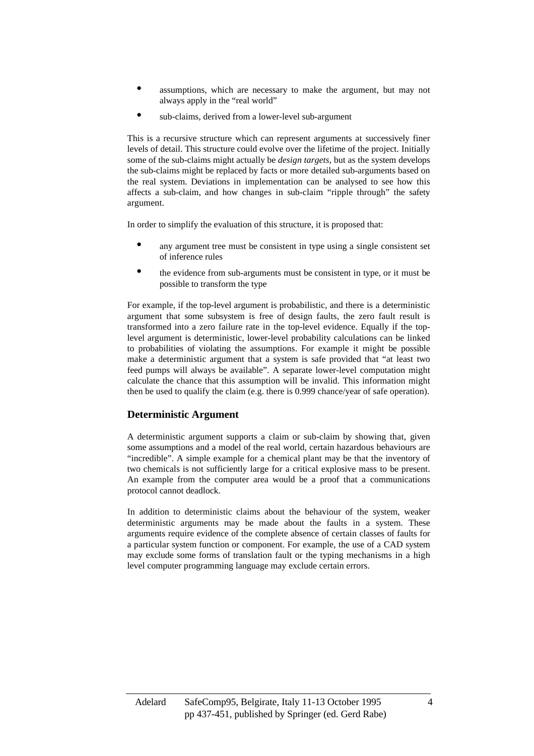- assumptions, which are necessary to make the argument, but may not always apply in the "real world"
- sub-claims, derived from a lower-level sub-argument

This is a recursive structure which can represent arguments at successively finer levels of detail. This structure could evolve over the lifetime of the project. Initially some of the sub-claims might actually be *design targets*, but as the system develops the sub-claims might be replaced by facts or more detailed sub-arguments based on the real system. Deviations in implementation can be analysed to see how this affects a sub-claim, and how changes in sub-claim "ripple through" the safety argument.

In order to simplify the evaluation of this structure, it is proposed that:

- any argument tree must be consistent in type using a single consistent set of inference rules
- the evidence from sub-arguments must be consistent in type, or it must be possible to transform the type

For example, if the top-level argument is probabilistic, and there is a deterministic argument that some subsystem is free of design faults, the zero fault result is transformed into a zero failure rate in the top-level evidence. Equally if the toplevel argument is deterministic, lower-level probability calculations can be linked to probabilities of violating the assumptions. For example it might be possible make a deterministic argument that a system is safe provided that "at least two feed pumps will always be available". A separate lower-level computation might calculate the chance that this assumption will be invalid. This information might then be used to qualify the claim (e.g. there is 0.999 chance/year of safe operation).

## **Deterministic Argument**

A deterministic argument supports a claim or sub-claim by showing that, given some assumptions and a model of the real world, certain hazardous behaviours are "incredible". A simple example for a chemical plant may be that the inventory of two chemicals is not sufficiently large for a critical explosive mass to be present. An example from the computer area would be a proof that a communications protocol cannot deadlock.

In addition to deterministic claims about the behaviour of the system, weaker deterministic arguments may be made about the faults in a system. These arguments require evidence of the complete absence of certain classes of faults for a particular system function or component. For example, the use of a CAD system may exclude some forms of translation fault or the typing mechanisms in a high level computer programming language may exclude certain errors.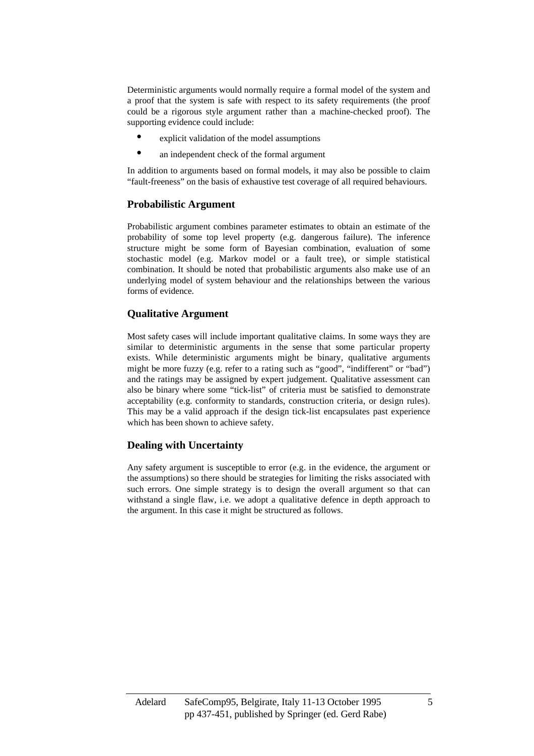Deterministic arguments would normally require a formal model of the system and a proof that the system is safe with respect to its safety requirements (the proof could be a rigorous style argument rather than a machine-checked proof). The supporting evidence could include:

- explicit validation of the model assumptions
- an independent check of the formal argument

In addition to arguments based on formal models, it may also be possible to claim "fault-freeness" on the basis of exhaustive test coverage of all required behaviours.

### **Probabilistic Argument**

Probabilistic argument combines parameter estimates to obtain an estimate of the probability of some top level property (e.g. dangerous failure). The inference structure might be some form of Bayesian combination, evaluation of some stochastic model (e.g. Markov model or a fault tree), or simple statistical combination. It should be noted that probabilistic arguments also make use of an underlying model of system behaviour and the relationships between the various forms of evidence.

## **Qualitative Argument**

Most safety cases will include important qualitative claims. In some ways they are similar to deterministic arguments in the sense that some particular property exists. While deterministic arguments might be binary, qualitative arguments might be more fuzzy (e.g. refer to a rating such as "good", "indifferent" or "bad") and the ratings may be assigned by expert judgement. Qualitative assessment can also be binary where some "tick-list" of criteria must be satisfied to demonstrate acceptability (e.g. conformity to standards, construction criteria, or design rules). This may be a valid approach if the design tick-list encapsulates past experience which has been shown to achieve safety.

## **Dealing with Uncertainty**

Any safety argument is susceptible to error (e.g. in the evidence, the argument or the assumptions) so there should be strategies for limiting the risks associated with such errors. One simple strategy is to design the overall argument so that can withstand a single flaw, i.e. we adopt a qualitative defence in depth approach to the argument. In this case it might be structured as follows.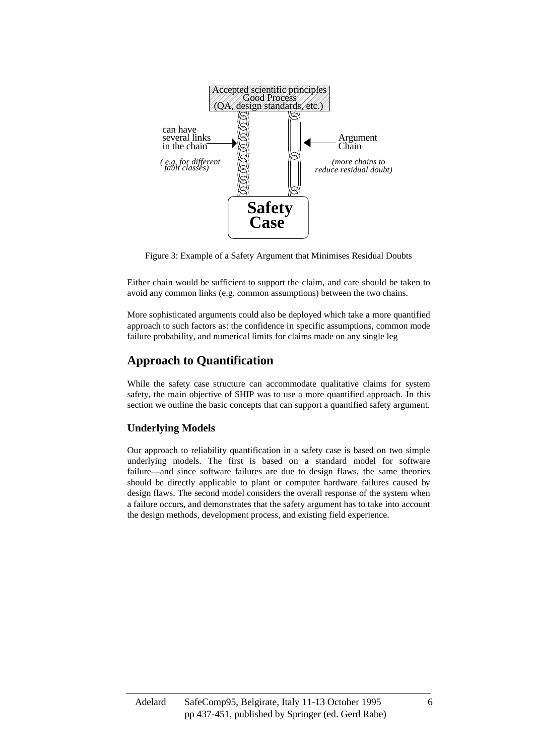

Figure 3: Example of a Safety Argument that Minimises Residual Doubts

Either chain would be sufficient to support the claim, and care should be taken to avoid any common links (e.g. common assumptions) between the two chains.

More sophisticated arguments could also be deployed which take a more quantified approach to such factors as: the confidence in specific assumptions, common mode failure probability, and numerical limits for claims made on any single leg

# **Approach to Quantification**

While the safety case structure can accommodate qualitative claims for system safety, the main objective of SHIP was to use a more quantified approach. In this section we outline the basic concepts that can support a quantified safety argument.

## **Underlying Models**

Our approach to reliability quantification in a safety case is based on two simple underlying models. The first is based on a standard model for software failure—and since software failures are due to design flaws, the same theories should be directly applicable to plant or computer hardware failures caused by design flaws. The second model considers the overall response of the system when a failure occurs, and demonstrates that the safety argument has to take into account the design methods, development process, and existing field experience.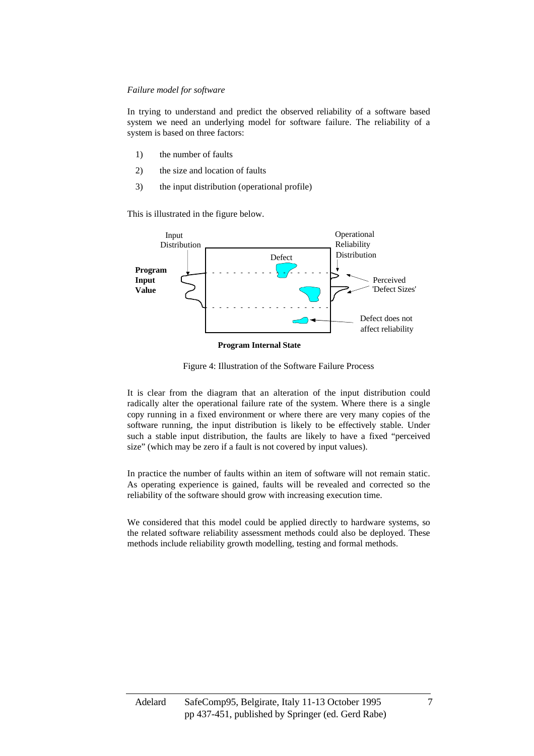#### *Failure model for software*

In trying to understand and predict the observed reliability of a software based system we need an underlying model for software failure. The reliability of a system is based on three factors:

- 1) the number of faults
- 2) the size and location of faults
- 3) the input distribution (operational profile)

This is illustrated in the figure below.



Figure 4: Illustration of the Software Failure Process

It is clear from the diagram that an alteration of the input distribution could radically alter the operational failure rate of the system. Where there is a single copy running in a fixed environment or where there are very many copies of the software running, the input distribution is likely to be effectively stable. Under such a stable input distribution, the faults are likely to have a fixed "perceived size" (which may be zero if a fault is not covered by input values).

In practice the number of faults within an item of software will not remain static. As operating experience is gained, faults will be revealed and corrected so the reliability of the software should grow with increasing execution time.

We considered that this model could be applied directly to hardware systems, so the related software reliability assessment methods could also be deployed. These methods include reliability growth modelling, testing and formal methods.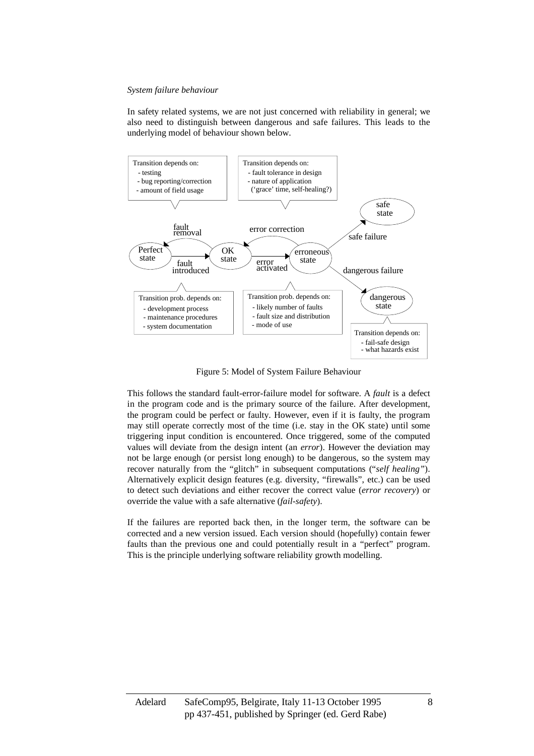#### *System failure behaviour*

In safety related systems, we are not just concerned with reliability in general; we also need to distinguish between dangerous and safe failures. This leads to the underlying model of behaviour shown below.



Figure 5: Model of System Failure Behaviour

This follows the standard fault-error-failure model for software. A *fault* is a defect in the program code and is the primary source of the failure. After development, the program could be perfect or faulty. However, even if it is faulty, the program may still operate correctly most of the time (i.e. stay in the OK state) until some triggering input condition is encountered. Once triggered, some of the computed values will deviate from the design intent (an *error*). However the deviation may not be large enough (or persist long enough) to be dangerous, so the system may recover naturally from the "glitch" in subsequent computations ("*self healing"*). Alternatively explicit design features (e.g. diversity, "firewalls", etc.) can be used to detect such deviations and either recover the correct value (*error recovery*) or override the value with a safe alternative (*fail-safety*).

If the failures are reported back then, in the longer term, the software can be corrected and a new version issued. Each version should (hopefully) contain fewer faults than the previous one and could potentially result in a "perfect" program. This is the principle underlying software reliability growth modelling.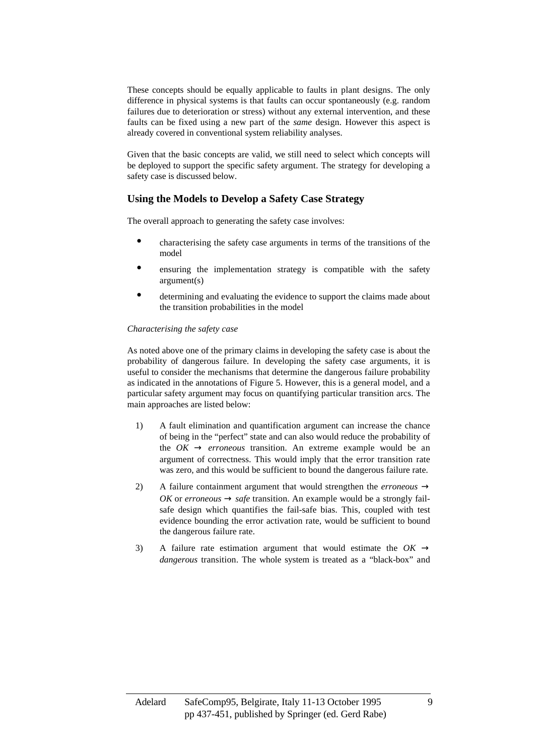These concepts should be equally applicable to faults in plant designs. The only difference in physical systems is that faults can occur spontaneously (e.g. random failures due to deterioration or stress) without any external intervention, and these faults can be fixed using a new part of the *same* design. However this aspect is already covered in conventional system reliability analyses.

Given that the basic concepts are valid, we still need to select which concepts will be deployed to support the specific safety argument. The strategy for developing a safety case is discussed below.

## **Using the Models to Develop a Safety Case Strategy**

The overall approach to generating the safety case involves:

- characterising the safety case arguments in terms of the transitions of the model
- ensuring the implementation strategy is compatible with the safety argument(s)
- determining and evaluating the evidence to support the claims made about the transition probabilities in the model

#### *Characterising the safety case*

As noted above one of the primary claims in developing the safety case is about the probability of dangerous failure. In developing the safety case arguments, it is useful to consider the mechanisms that determine the dangerous failure probability as indicated in the annotations of Figure 5. However, this is a general model, and a particular safety argument may focus on quantifying particular transition arcs. The main approaches are listed below:

- 1) A fault elimination and quantification argument can increase the chance of being in the "perfect" state and can also would reduce the probability of the  $OK \rightarrow$  *erroneous* transition. An extreme example would be an argument of correctness. This would imply that the error transition rate was zero, and this would be sufficient to bound the dangerous failure rate.
- 2) A failure containment argument that would strengthen the *erroneous*  $\rightarrow$ *OK* or *erroneous*  $\rightarrow$  *safe* transition. An example would be a strongly failsafe design which quantifies the fail-safe bias. This, coupled with test evidence bounding the error activation rate, would be sufficient to bound the dangerous failure rate.
- 3) A failure rate estimation argument that would estimate the  $OK \rightarrow$ *dangerous* transition. The whole system is treated as a "black-box" and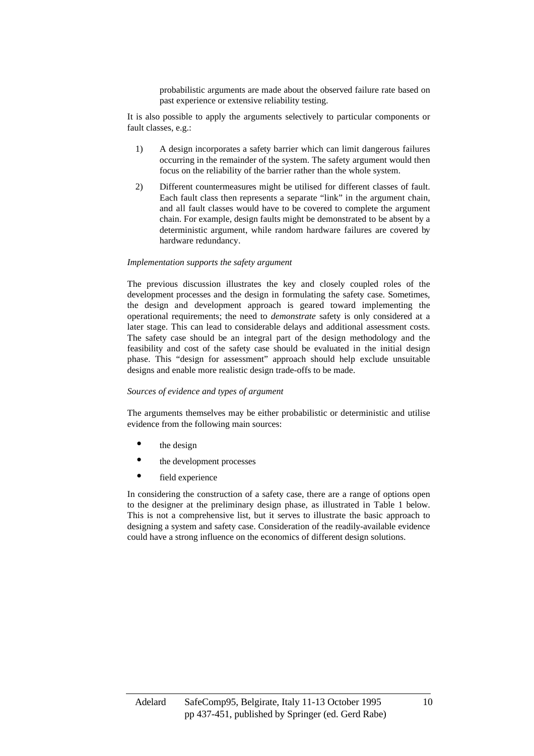probabilistic arguments are made about the observed failure rate based on past experience or extensive reliability testing.

It is also possible to apply the arguments selectively to particular components or fault classes, e.g.:

- 1) A design incorporates a safety barrier which can limit dangerous failures occurring in the remainder of the system. The safety argument would then focus on the reliability of the barrier rather than the whole system.
- 2) Different countermeasures might be utilised for different classes of fault. Each fault class then represents a separate "link" in the argument chain, and all fault classes would have to be covered to complete the argument chain. For example, design faults might be demonstrated to be absent by a deterministic argument, while random hardware failures are covered by hardware redundancy.

#### *Implementation supports the safety argument*

The previous discussion illustrates the key and closely coupled roles of the development processes and the design in formulating the safety case. Sometimes, the design and development approach is geared toward implementing the operational requirements; the need to *demonstrate* safety is only considered at a later stage. This can lead to considerable delays and additional assessment costs. The safety case should be an integral part of the design methodology and the feasibility and cost of the safety case should be evaluated in the initial design phase. This "design for assessment" approach should help exclude unsuitable designs and enable more realistic design trade-offs to be made.

#### *Sources of evidence and types of argument*

The arguments themselves may be either probabilistic or deterministic and utilise evidence from the following main sources:

- the design
- the development processes
- field experience

In considering the construction of a safety case, there are a range of options open to the designer at the preliminary design phase, as illustrated in Table 1 below. This is not a comprehensive list, but it serves to illustrate the basic approach to designing a system and safety case. Consideration of the readily-available evidence could have a strong influence on the economics of different design solutions.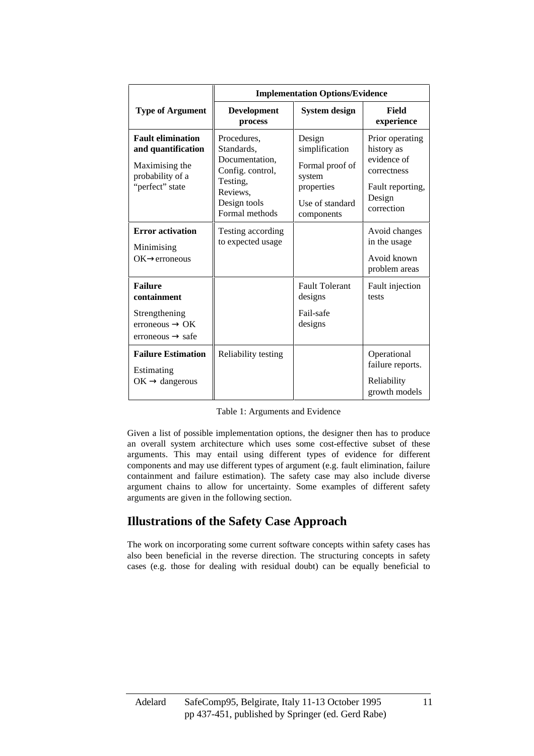|                                                                                                              | <b>Implementation Options/Evidence</b>                                                                                    |                                                                                                      |                                                                                                         |  |
|--------------------------------------------------------------------------------------------------------------|---------------------------------------------------------------------------------------------------------------------------|------------------------------------------------------------------------------------------------------|---------------------------------------------------------------------------------------------------------|--|
| <b>Type of Argument</b>                                                                                      | <b>Development</b><br>process                                                                                             | <b>System design</b>                                                                                 | <b>Field</b><br>experience                                                                              |  |
| <b>Fault elimination</b><br>and quantification<br>Maximising the<br>probability of a<br>"perfect" state      | Procedures,<br>Standards,<br>Documentation.<br>Config. control,<br>Testing,<br>Reviews.<br>Design tools<br>Formal methods | Design<br>simplification<br>Formal proof of<br>system<br>properties<br>Use of standard<br>components | Prior operating<br>history as<br>evidence of<br>correctness<br>Fault reporting,<br>Design<br>correction |  |
| <b>Error activation</b><br>Minimising<br>$OK \rightarrow$ erroneous                                          | Testing according<br>to expected usage                                                                                    |                                                                                                      | Avoid changes<br>in the usage<br>Avoid known<br>problem areas                                           |  |
| <b>Failure</b><br>containment<br>Strengthening<br>erroneous $\rightarrow$ OK<br>erroneous $\rightarrow$ safe |                                                                                                                           | <b>Fault Tolerant</b><br>designs<br>Fail-safe<br>designs                                             | Fault injection<br>tests                                                                                |  |
| <b>Failure Estimation</b><br>Estimating<br>$OK \rightarrow$ dangerous                                        | Reliability testing                                                                                                       |                                                                                                      | Operational<br>failure reports.<br>Reliability<br>growth models                                         |  |

Table 1: Arguments and Evidence

Given a list of possible implementation options, the designer then has to produce an overall system architecture which uses some cost-effective subset of these arguments. This may entail using different types of evidence for different components and may use different types of argument (e.g. fault elimination, failure containment and failure estimation). The safety case may also include diverse argument chains to allow for uncertainty. Some examples of different safety arguments are given in the following section.

# **Illustrations of the Safety Case Approach**

The work on incorporating some current software concepts within safety cases has also been beneficial in the reverse direction. The structuring concepts in safety cases (e.g. those for dealing with residual doubt) can be equally beneficial to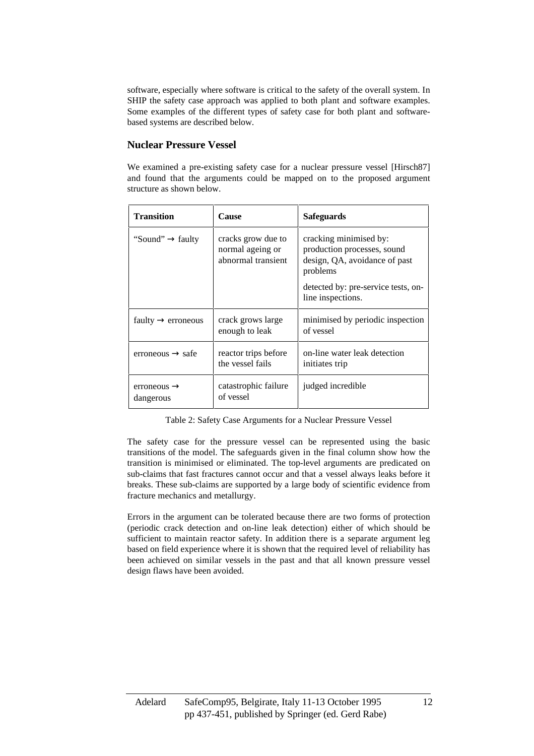software, especially where software is critical to the safety of the overall system. In SHIP the safety case approach was applied to both plant and software examples. Some examples of the different types of safety case for both plant and softwarebased systems are described below.

## **Nuclear Pressure Vessel**

We examined a pre-existing safety case for a nuclear pressure vessel [Hirsch87] and found that the arguments could be mapped on to the proposed argument structure as shown below.

| Transition                           | <b>Cause</b>                                                 | <b>Safeguards</b>                                                                                  |
|--------------------------------------|--------------------------------------------------------------|----------------------------------------------------------------------------------------------------|
| "Sound" $\rightarrow$ faulty         | cracks grow due to<br>normal ageing or<br>abnormal transient | cracking minimised by:<br>production processes, sound<br>design, QA, avoidance of past<br>problems |
|                                      |                                                              | detected by: pre-service tests, on-<br>line inspections.                                           |
| faulty $\rightarrow$ erroneous       | crack grows large<br>enough to leak                          | minimised by periodic inspection<br>of vessel                                                      |
| erroneous $\rightarrow$ safe         | reactor trips before<br>the vessel fails                     | on-line water leak detection<br>initiates trip                                                     |
| erroneous $\rightarrow$<br>dangerous | catastrophic failure<br>of vessel                            | judged incredible                                                                                  |

Table 2: Safety Case Arguments for a Nuclear Pressure Vessel

The safety case for the pressure vessel can be represented using the basic transitions of the model. The safeguards given in the final column show how the transition is minimised or eliminated. The top-level arguments are predicated on sub-claims that fast fractures cannot occur and that a vessel always leaks before it breaks. These sub-claims are supported by a large body of scientific evidence from fracture mechanics and metallurgy.

Errors in the argument can be tolerated because there are two forms of protection (periodic crack detection and on-line leak detection) either of which should be sufficient to maintain reactor safety. In addition there is a separate argument leg based on field experience where it is shown that the required level of reliability has been achieved on similar vessels in the past and that all known pressure vessel design flaws have been avoided.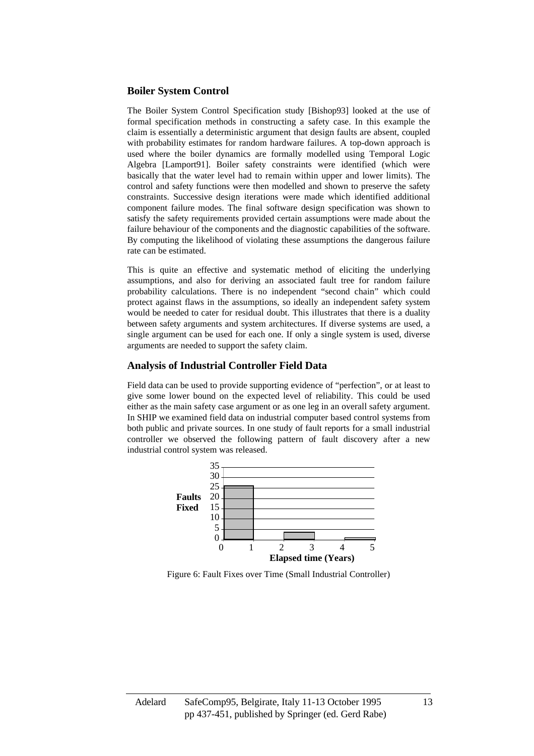## **Boiler System Control**

The Boiler System Control Specification study [Bishop93] looked at the use of formal specification methods in constructing a safety case. In this example the claim is essentially a deterministic argument that design faults are absent, coupled with probability estimates for random hardware failures. A top-down approach is used where the boiler dynamics are formally modelled using Temporal Logic Algebra [Lamport91]. Boiler safety constraints were identified (which were basically that the water level had to remain within upper and lower limits). The control and safety functions were then modelled and shown to preserve the safety constraints. Successive design iterations were made which identified additional component failure modes. The final software design specification was shown to satisfy the safety requirements provided certain assumptions were made about the failure behaviour of the components and the diagnostic capabilities of the software. By computing the likelihood of violating these assumptions the dangerous failure rate can be estimated.

This is quite an effective and systematic method of eliciting the underlying assumptions, and also for deriving an associated fault tree for random failure probability calculations. There is no independent "second chain" which could protect against flaws in the assumptions, so ideally an independent safety system would be needed to cater for residual doubt. This illustrates that there is a duality between safety arguments and system architectures. If diverse systems are used, a single argument can be used for each one. If only a single system is used, diverse arguments are needed to support the safety claim.

## **Analysis of Industrial Controller Field Data**

Field data can be used to provide supporting evidence of "perfection", or at least to give some lower bound on the expected level of reliability. This could be used either as the main safety case argument or as one leg in an overall safety argument. In SHIP we examined field data on industrial computer based control systems from both public and private sources. In one study of fault reports for a small industrial controller we observed the following pattern of fault discovery after a new industrial control system was released.



Figure 6: Fault Fixes over Time (Small Industrial Controller)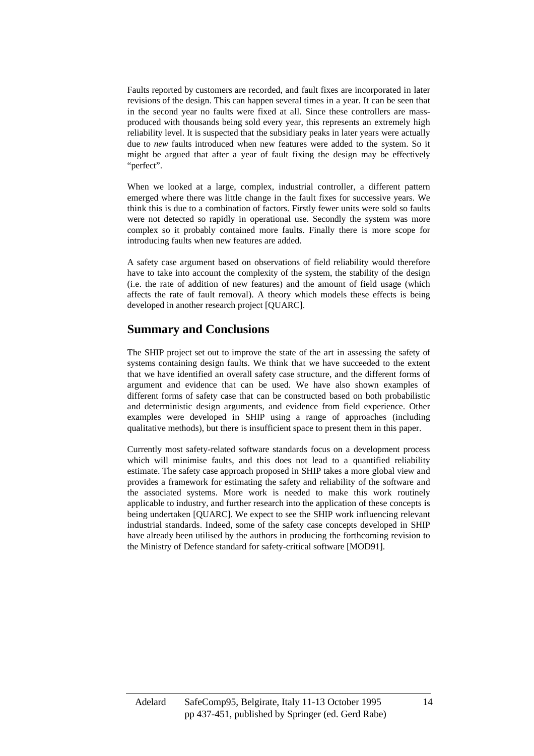Faults reported by customers are recorded, and fault fixes are incorporated in later revisions of the design. This can happen several times in a year. It can be seen that in the second year no faults were fixed at all. Since these controllers are massproduced with thousands being sold every year, this represents an extremely high reliability level. It is suspected that the subsidiary peaks in later years were actually due to *new* faults introduced when new features were added to the system. So it might be argued that after a year of fault fixing the design may be effectively "perfect".

When we looked at a large, complex, industrial controller, a different pattern emerged where there was little change in the fault fixes for successive years. We think this is due to a combination of factors. Firstly fewer units were sold so faults were not detected so rapidly in operational use. Secondly the system was more complex so it probably contained more faults. Finally there is more scope for introducing faults when new features are added.

A safety case argument based on observations of field reliability would therefore have to take into account the complexity of the system, the stability of the design (i.e. the rate of addition of new features) and the amount of field usage (which affects the rate of fault removal). A theory which models these effects is being developed in another research project [QUARC].

## **Summary and Conclusions**

The SHIP project set out to improve the state of the art in assessing the safety of systems containing design faults. We think that we have succeeded to the extent that we have identified an overall safety case structure, and the different forms of argument and evidence that can be used. We have also shown examples of different forms of safety case that can be constructed based on both probabilistic and deterministic design arguments, and evidence from field experience. Other examples were developed in SHIP using a range of approaches (including qualitative methods), but there is insufficient space to present them in this paper.

Currently most safety-related software standards focus on a development process which will minimise faults, and this does not lead to a quantified reliability estimate. The safety case approach proposed in SHIP takes a more global view and provides a framework for estimating the safety and reliability of the software and the associated systems. More work is needed to make this work routinely applicable to industry, and further research into the application of these concepts is being undertaken [QUARC]. We expect to see the SHIP work influencing relevant industrial standards. Indeed, some of the safety case concepts developed in SHIP have already been utilised by the authors in producing the forthcoming revision to the Ministry of Defence standard for safety-critical software [MOD91].